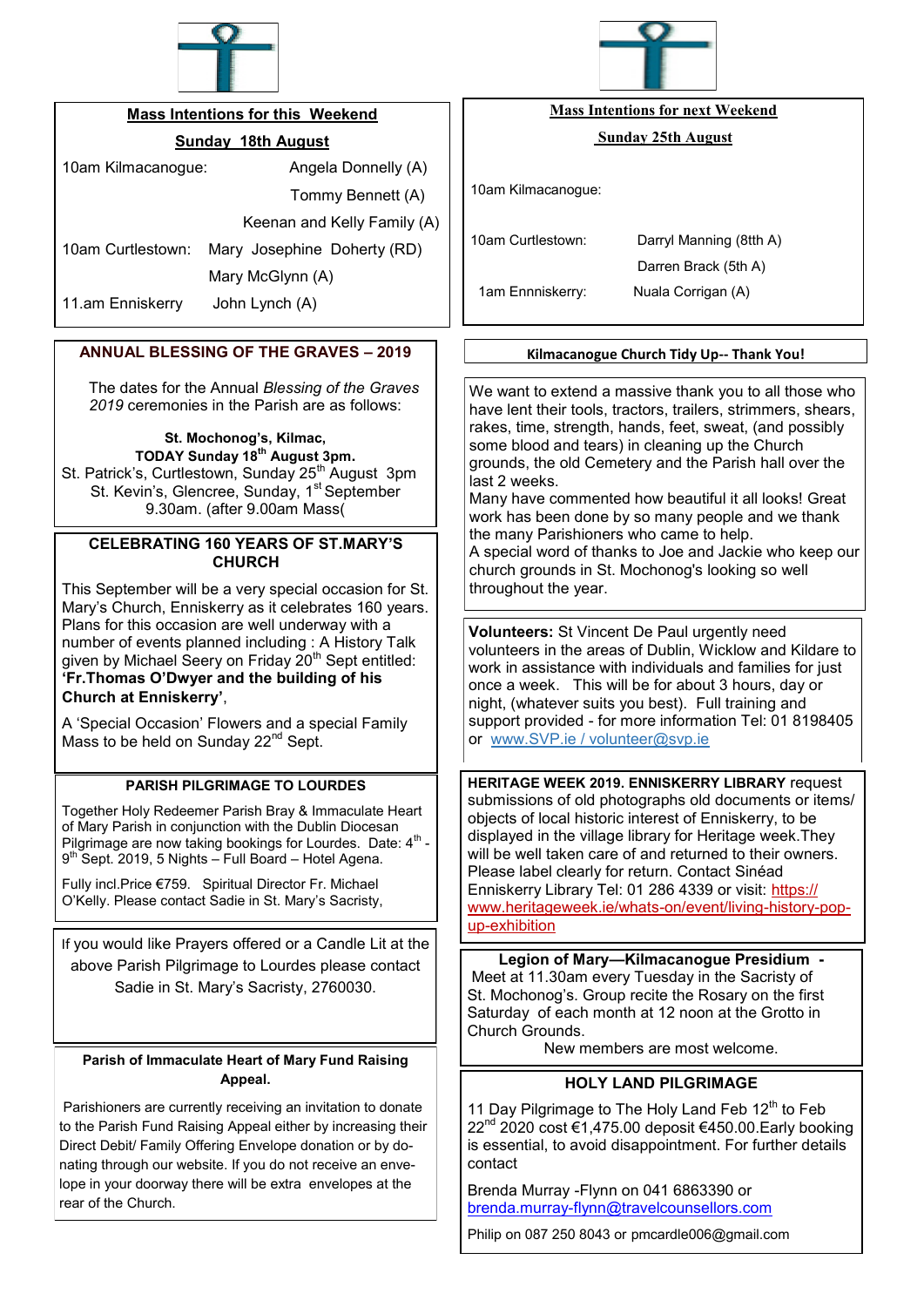

## **Mass Intentions for this Weekend**

# **Sunday 18th August**

10am Kilmacanogue: Angela Donnelly (A)

Tommy Bennett (A)

Keenan and Kelly Family (A)

10am Curtlestown: Mary Josephine Doherty (RD)

Mary McGlynn (A)

11.am Enniskerry John Lynch (A)

# **ANNUAL BLESSING OF THE GRAVES – 2019**

The dates for the Annual *Blessing of the Graves 2019* ceremonies in the Parish are as follows:

> **St. Mochonog's, Kilmac, TODAY Sunday 18th August 3pm.**

St. Patrick's, Curtlestown, Sunday 25<sup>th</sup> August 3pm St. Kevin's, Glencree, Sunday, 1<sup>st</sup> September 9.30am. (after 9.00am Mass(

## **CELEBRATING 160 YEARS OF ST.MARY'S CHURCH**

This September will be a very special occasion for St. Mary's Church, Enniskerry as it celebrates 160 years. Plans for this occasion are well underway with a number of events planned including : A History Talk given by Michael Seery on Friday 20<sup>th</sup> Sept entitled: **'Fr.Thomas O'Dwyer and the building of his Church at Enniskerry'**,

A 'Special Occasion' Flowers and a special Family Mass to be held on Sunday 22<sup>nd</sup> Sept.

## **PARISH PILGRIMAGE TO LOURDES**

Together Holy Redeemer Parish Bray & Immaculate Heart of Mary Parish in conjunction with the Dublin Diocesan Pilgrimage are now taking bookings for Lourdes. Date:  $4<sup>th</sup>$  -9<sup>th</sup> Sept. 2019, 5 Nights – Full Board – Hotel Agena.

Fully incl.Price €759. Spiritual Director Fr. Michael O'Kelly. Please contact Sadie in St. Mary's Sacristy,

If you would like Prayers offered or a Candle Lit at the above Parish Pilgrimage to Lourdes please contact Sadie in St. Mary's Sacristy, 2760030.

#### **Parish of Immaculate Heart of Mary Fund Raising Appeal.**

Parishioners are currently receiving an invitation to donate to the Parish Fund Raising Appeal either by increasing their Direct Debit/ Family Offering Envelope donation or by donating through our website. If you do not receive an envelope in your doorway there will be extra envelopes at the rear of the Church.



# **Mass Intentions for next Weekend**

### **Sunday 25th August**

10am Kilmacanogue:

10am Curtlestown: Darryl Manning (8tth A)

1am Ennniskerry: Nuala Corrigan (A)

Darren Brack (5th A)

## **Kilmacanogue Church Tidy Up-- Thank You!**

We want to extend a massive thank you to all those who have lent their tools, tractors, trailers, strimmers, shears, rakes, time, strength, hands, feet, sweat, (and possibly some blood and tears) in cleaning up the Church grounds, the old Cemetery and the Parish hall over the last 2 weeks.

Many have commented how beautiful it all looks! Great work has been done by so many people and we thank the many Parishioners who came to help. A special word of thanks to Joe and Jackie who keep our church grounds in St. Mochonog's looking so well throughout the year.

**Volunteers:** St Vincent De Paul urgently need volunteers in the areas of Dublin, Wicklow and Kildare to work in assistance with individuals and families for just once a week. This will be for about 3 hours, day or night, (whatever suits you best). Full training and support provided - for more information Tel: 01 8198405 or [www.SVP.ie](https://l.facebook.com/l.php?u=http%3A%2F%2Fwww.SVP.ie%2F%3Ffbclid%3DIwAR2AzebNQjJ_KP-Z9FVukFyujB8nXzqOljiMH04fx4pStgAvGc-iDlBE-m0&h=AT3Ug_llf3KAOdYKaxT5ndYQVkXXvJgfgIVJAIvJzn8o3o_87eUDGtXEtybdqt6AQpaKjbaW8Vniy6OtER9Vp8Ts2NoEQ6ZXexRpywJzqhu-AFAjaig6vNusf6FroS) / [volunteer@svp.ie](mailto:volunteer@svp.ie)

**HERITAGE WEEK 2019. ENNISKERRY LIBRARY** request submissions of old photographs old documents or items/ objects of local historic interest of Enniskerry, to be displayed in the village library for Heritage week.They will be well taken care of and returned to their owners. Please label clearly for return. Contact Sinéad Enniskerry Library Tel: 01 286 4339 or visit: [https://](https://www.heritageweek.ie/whats-on/event/living-history-pop-up-exhibit) [www.heritageweek.ie/whats](https://www.heritageweek.ie/whats-on/event/living-history-pop-up-exhibit)-on/event/living-history-popup-[exhibition](https://www.heritageweek.ie/whats-on/event/living-history-pop-up-exhibit)

**Legion of Mary—Kilmacanogue Presidium -** Meet at 11.30am every Tuesday in the Sacristy of St. Mochonog's. Group recite the Rosary on the first Saturday of each month at 12 noon at the Grotto in Church Grounds.

New members are most welcome.

# **HOLY LAND PILGRIMAGE**

11 Day Pilgrimage to The Holy Land Feb 12<sup>th</sup> to Feb 22<sup>nd</sup> 2020 cost €1,475.00 deposit €450.00.Early booking is essential, to avoid disappointment. For further details contact

Brenda Murray -Flynn on 041 6863390 or brenda.murray-[flynn@travelcounsellors.com](mailto:brenda.murray-flynn@travelcounsellors.com)

Philip on 087 250 8043 or pmcardle006@gmail.com